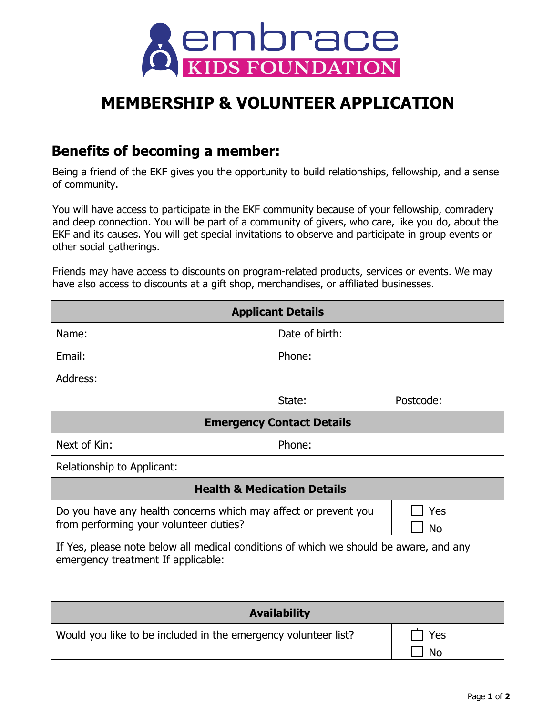

## **MEMBERSHIP & VOLUNTEER APPLICATION**

## **Benefits of becoming a member:**

Being a friend of the EKF gives you the opportunity to build relationships, fellowship, and a sense of community.

You will have access to participate in the EKF community because of your fellowship, comradery and deep connection. You will be part of a community of givers, who care, like you do, about the EKF and its causes. You will get special invitations to observe and participate in group events or other social gatherings.

Friends may have access to discounts on program-related products, services or events. We may have also access to discounts at a gift shop, merchandises, or affiliated businesses.

| <b>Applicant Details</b>                                                                                                    |                |                  |
|-----------------------------------------------------------------------------------------------------------------------------|----------------|------------------|
| Name:                                                                                                                       | Date of birth: |                  |
| Email:                                                                                                                      | Phone:         |                  |
| Address:                                                                                                                    |                |                  |
|                                                                                                                             | State:         | Postcode:        |
| <b>Emergency Contact Details</b>                                                                                            |                |                  |
| Next of Kin:                                                                                                                | Phone:         |                  |
| Relationship to Applicant:                                                                                                  |                |                  |
| <b>Health &amp; Medication Details</b>                                                                                      |                |                  |
| Do you have any health concerns which may affect or prevent you<br>from performing your volunteer duties?                   |                | Yes<br><b>No</b> |
| If Yes, please note below all medical conditions of which we should be aware, and any<br>emergency treatment If applicable: |                |                  |
| <b>Availability</b>                                                                                                         |                |                  |
| Would you like to be included in the emergency volunteer list?                                                              |                | Yes<br>No        |
|                                                                                                                             |                |                  |